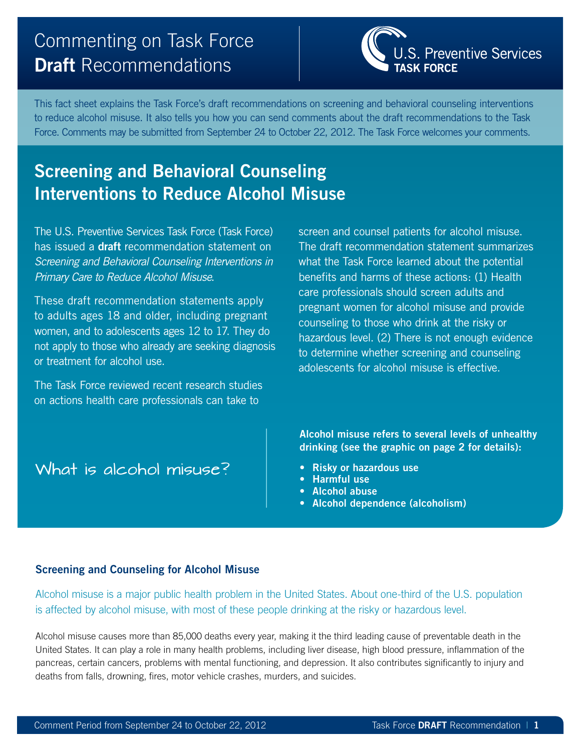# Commenting on Task Force **Draft** Recommendations

S. Preventive Services

This fact sheet explains the Task Force's draft recommendations on screening and behavioral counseling interventions to reduce alcohol misuse. It also tells you how you can send comments about the draft recommendations to the Task Force. Comments may be submitted from September 24 to October 22, 2012. The Task Force welcomes your comments.

# **Screening and Behavioral Counseling Interventions to Reduce Alcohol Misuse**

The U.S. Preventive Services Task Force (Task Force) has issued a **draft** recommendation statement on *Screening and Behavioral Counseling Interventions in Primary Care to Reduce Alcohol Misuse*.

These draft recommendation statements apply to adults ages 18 and older, including pregnant women, and to adolescents ages 12 to 17. They do not apply to those who already are seeking diagnosis or treatment for alcohol use.

The Task Force reviewed recent research studies on actions health care professionals can take to

What is alcohol misuse?

screen and counsel patients for alcohol misuse. The draft recommendation statement summarizes what the Task Force learned about the potential benefits and harms of these actions: (1) Health care professionals should screen adults and pregnant women for alcohol misuse and provide counseling to those who drink at the risky or hazardous level. (2) There is not enough evidence to determine whether screening and counseling adolescents for alcohol misuse is effective.

**Alcohol misuse refers to several levels of unhealthy drinking (see the graphic on page 2 for details):**

- **Risky or hazardous use**
- **Harmful use**
- **Alcohol abuse**
- **Alcohol dependence (alcoholism)**

## **Screening and Counseling for Alcohol Misuse**

Alcohol misuse is a major public health problem in the United States. About one-third of the U.S. population is affected by alcohol misuse, with most of these people drinking at the risky or hazardous level.

Alcohol misuse causes more than 85,000 deaths every year, making it the third leading cause of preventable death in the United States. It can play a role in many health problems, including liver disease, high blood pressure, inflammation of the pancreas, certain cancers, problems with mental functioning, and depression. It also contributes significantly to injury and deaths from falls, drowning, fires, motor vehicle crashes, murders, and suicides.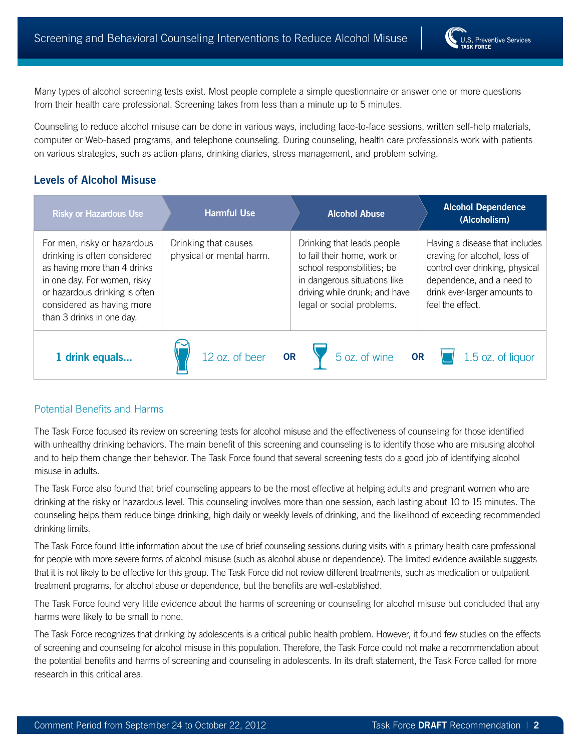Many types of alcohol screening tests exist. Most people complete a simple questionnaire or answer one or more questions from their health care professional. Screening takes from less than a minute up to 5 minutes.

Counseling to reduce alcohol misuse can be done in various ways, including face-to-face sessions, written self-help materials, computer or Web-based programs, and telephone counseling. During counseling, health care professionals work with patients on various strategies, such as action plans, drinking diaries, stress management, and problem solving.

## **Levels of Alcohol Misuse**

| <b>Risky or Hazardous Use</b>                                                                                                                                                                                           | <b>Harmful Use</b>                               | <b>Alcohol Abuse</b>                                                                                                                                                                  | <b>Alcohol Dependence</b><br>(Alcoholism)                                                                                                                                          |
|-------------------------------------------------------------------------------------------------------------------------------------------------------------------------------------------------------------------------|--------------------------------------------------|---------------------------------------------------------------------------------------------------------------------------------------------------------------------------------------|------------------------------------------------------------------------------------------------------------------------------------------------------------------------------------|
| For men, risky or hazardous<br>drinking is often considered<br>as having more than 4 drinks<br>in one day. For women, risky<br>or hazardous drinking is often<br>considered as having more<br>than 3 drinks in one day. | Drinking that causes<br>physical or mental harm. | Drinking that leads people<br>to fail their home, work or<br>school responsbilities; be<br>in dangerous situations like<br>driving while drunk; and have<br>legal or social problems. | Having a disease that includes<br>craving for alcohol, loss of<br>control over drinking, physical<br>dependence, and a need to<br>drink ever-larger amounts to<br>feel the effect. |
| 1 drink equals                                                                                                                                                                                                          | 12 oz. of beer<br><b>OR</b>                      | $\sqrt{5}$ oz. of wine <b>OR</b>                                                                                                                                                      | 1.5 oz. of liquor                                                                                                                                                                  |

## Potential Benefits and Harms

The Task Force focused its review on screening tests for alcohol misuse and the effectiveness of counseling for those identified with unhealthy drinking behaviors. The main benefit of this screening and counseling is to identify those who are misusing alcohol and to help them change their behavior. The Task Force found that several screening tests do a good job of identifying alcohol misuse in adults.

The Task Force also found that brief counseling appears to be the most effective at helping adults and pregnant women who are drinking at the risky or hazardous level. This counseling involves more than one session, each lasting about 10 to 15 minutes. The counseling helps them reduce binge drinking, high daily or weekly levels of drinking, and the likelihood of exceeding recommended drinking limits.

The Task Force found little information about the use of brief counseling sessions during visits with a primary health care professional for people with more severe forms of alcohol misuse (such as alcohol abuse or dependence). The limited evidence available suggests that it is not likely to be effective for this group. The Task Force did not review different treatments, such as medication or outpatient treatment programs, for alcohol abuse or dependence, but the benefits are well-established.

The Task Force found very little evidence about the harms of screening or counseling for alcohol misuse but concluded that any harms were likely to be small to none.

The Task Force recognizes that drinking by adolescents is a critical public health problem. However, it found few studies on the effects of screening and counseling for alcohol misuse in this population. Therefore, the Task Force could not make a recommendation about the potential benefits and harms of screening and counseling in adolescents. In its draft statement, the Task Force called for more research in this critical area.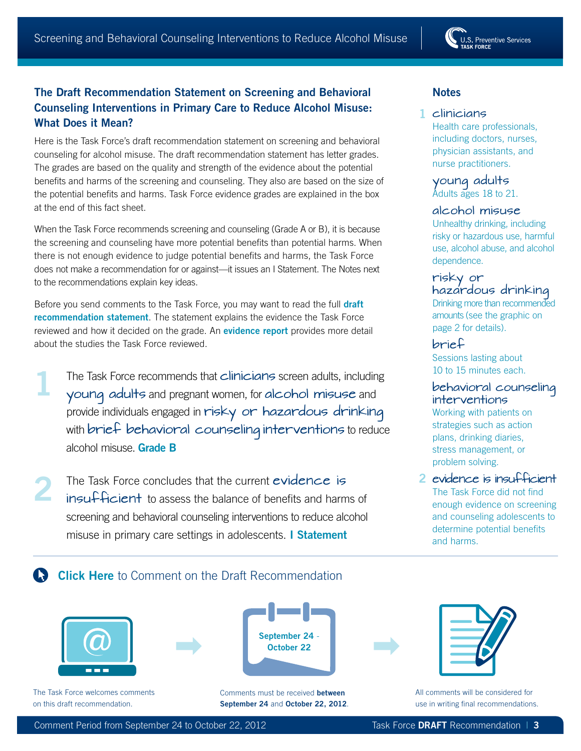U.S. Preventive Services

# **The Draft Recommendation Statement on Screening and Behavioral Counseling Interventions in Primary Care to Reduce Alcohol Misuse: What Does it Mean?**

Here is the Task Force's draft recommendation statement on screening and behavioral counseling for alcohol misuse. The draft recommendation statement has letter grades. The grades are based on the quality and strength of the evidence about the potential benefits and harms of the screening and counseling. They also are based on the size of the potential benefits and harms. Task Force evidence grades are explained in the box at the end of this fact sheet.

When the Task Force recommends screening and counseling (Grade A or B), it is because the screening and counseling have more potential benefits than potential harms. When there is not enough evidence to judge potential benefits and harms, the Task Force does not make a recommendation for or against—it issues an I Statement. The Notes next to the recommendations explain key ideas.

Before you send comments to the Task Force, you may want to read the full **[draft](http://www.uspreventiveservicestaskforce.org/draftrec.htm)  [recommendation statement](http://www.uspreventiveservicestaskforce.org/draftrec.htm)**. The statement explains the evidence the Task Force reviewed and how it decided on the grade. An **[evidence report](http://www.uspreventiveservicestaskforce.org/uspstf12/alcmisuse/alcomisart.htm)** provides more detail about the studies the Task Force reviewed.

- The Task Force recommends that clinicians screen adults, including young adults and pregnant women, for alcohol misuse and provide individuals engaged in risky or hazardous drinking with brief behavioral counseling interventions to reduce alcohol misuse. **Grade B 1**
- The Task Force concludes that the current evidence is insufficient to assess the balance of benefits and harms of screening and behavioral counseling interventions to reduce alcohol misuse in primary care settings in adolescents. **I Statement 2**

## **Notes**

## clinicians **1**

Health care professionals, including doctors, nurses, physician assistants, and nurse practitioners.

young adults Adults ages 18 to 21.

#### alcohol misuse

Unhealthy drinking, including risky or hazardous use, harmful use, alcohol abuse, and alcohol dependence.

#### risky or hazardous drinking

Drinking more than recommended amounts (see the graphic on page 2 for details).

brief Sessions lasting about 10 to 15 minutes each.

## behavioral counseling interventions

Working with patients on strategies such as action plans, drinking diaries, stress management, or problem solving.

## evidence is insufficient **2**

The Task Force did not find enough evidence on screening and counseling adolescents to determine potential benefits and harms.

# **Click Here** [to Comment on the Draft Recommendation](http://www.uspreventiveservicestaskforce.org/tfcomment.htm)









All comments will be considered for use in writing final recommendations.

The Task Force welcomes comments on this draft recommendation.

Comments must be received **between** September 24 and October 22, 2012.